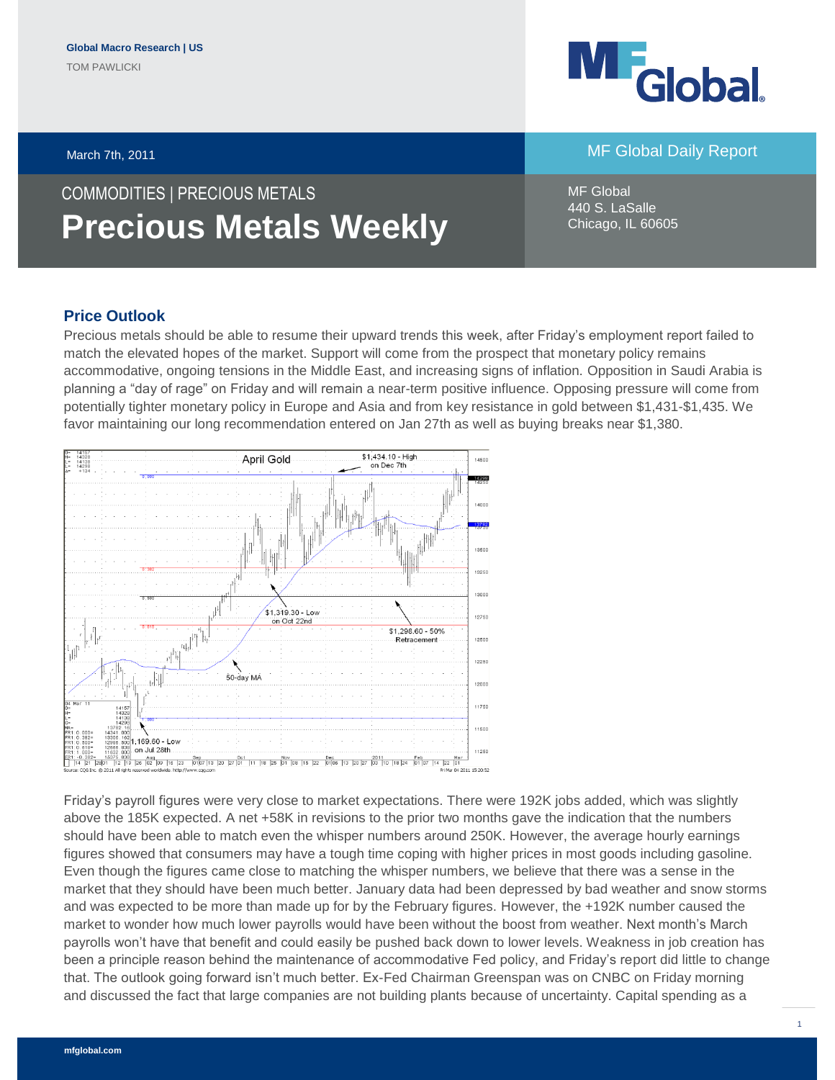## March 7th, 2011 **March 7th Accord 2012 12:30 November 2014** MF Global Daily Report

# COMMODITIES | PRECIOUS METALS **Precious Metals Weekly**

April Gold

MF Global 440 S. LaSalle Chicago, IL 60605

### **Price Outlook**

14328<br>14138<br>14298

Precious metals should be able to resume their upward trends this week, after Friday's employment report failed to match the elevated hopes of the market. Support will come from the prospect that monetary policy remains accommodative, ongoing tensions in the Middle East, and increasing signs of inflation. Opposition in Saudi Arabia is planning a "day of rage" on Friday and will remain a near-term positive influence. Opposing pressure will come from potentially tighter monetary policy in Europe and Asia and from key resistance in gold between \$1,431-\$1,435. We favor maintaining our long recommendation entered on Jan 27th as well as buying breaks near \$1,380.

14500

\$1,434.10 - High<br>on Dec 7th



Friday's payroll figures were very close to market expectations. There were 192K jobs added, which was slightly above the 185K expected. A net +58K in revisions to the prior two months gave the indication that the numbers should have been able to match even the whisper numbers around 250K. However, the average hourly earnings figures showed that consumers may have a tough time coping with higher prices in most goods including gasoline. Even though the figures came close to matching the whisper numbers, we believe that there was a sense in the market that they should have been much better. January data had been depressed by bad weather and snow storms and was expected to be more than made up for by the February figures. However, the +192K number caused the market to wonder how much lower payrolls would have been without the boost from weather. Next month's March payrolls won't have that benefit and could easily be pushed back down to lower levels. Weakness in job creation has been a principle reason behind the maintenance of accommodative Fed policy, and Friday's report did little to change that. The outlook going forward isn't much better. Ex-Fed Chairman Greenspan was on CNBC on Friday morning and discussed the fact that large companies are not building plants because of uncertainty. Capital spending as a

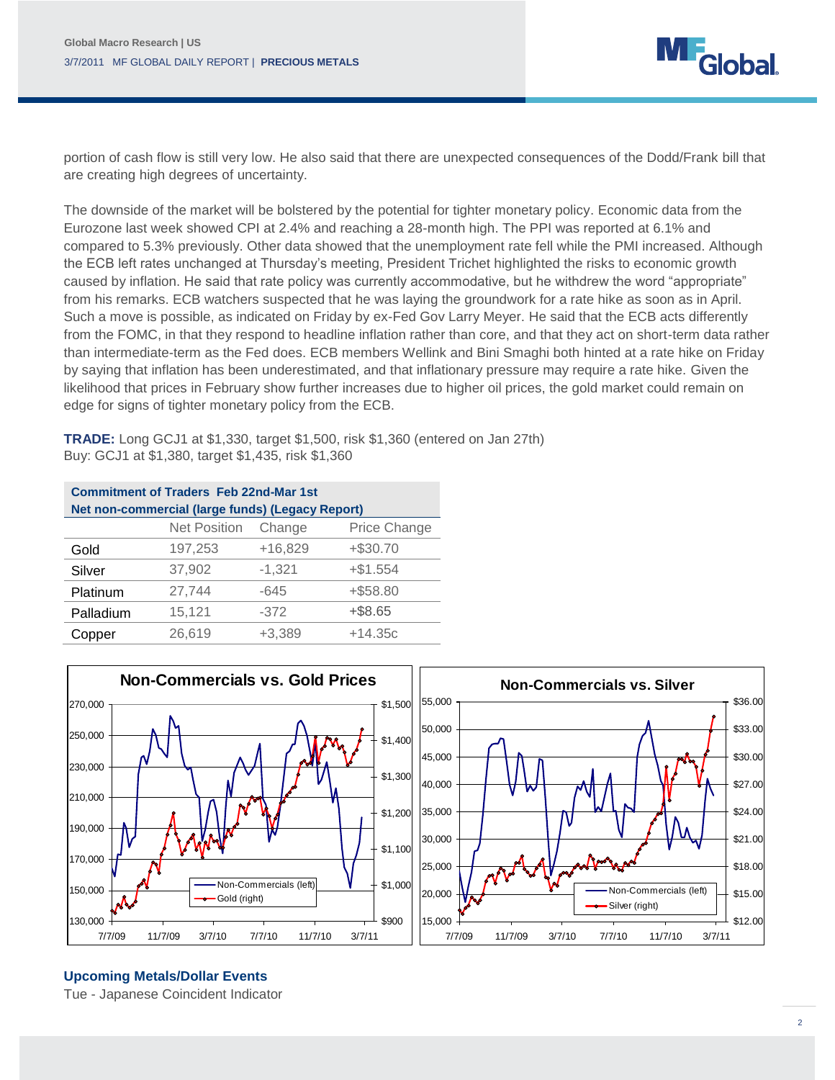

portion of cash flow is still very low. He also said that there are unexpected consequences of the Dodd/Frank bill that are creating high degrees of uncertainty.

The downside of the market will be bolstered by the potential for tighter monetary policy. Economic data from the Eurozone last week showed CPI at 2.4% and reaching a 28-month high. The PPI was reported at 6.1% and compared to 5.3% previously. Other data showed that the unemployment rate fell while the PMI increased. Although the ECB left rates unchanged at Thursday's meeting, President Trichet highlighted the risks to economic growth caused by inflation. He said that rate policy was currently accommodative, but he withdrew the word "appropriate" from his remarks. ECB watchers suspected that he was laying the groundwork for a rate hike as soon as in April. Such a move is possible, as indicated on Friday by ex-Fed Gov Larry Meyer. He said that the ECB acts differently from the FOMC, in that they respond to headline inflation rather than core, and that they act on short-term data rather than intermediate-term as the Fed does. ECB members Wellink and Bini Smaghi both hinted at a rate hike on Friday by saying that inflation has been underestimated, and that inflationary pressure may require a rate hike. Given the likelihood that prices in February show further increases due to higher oil prices, the gold market could remain on edge for signs of tighter monetary policy from the ECB.

**TRADE:** Long GCJ1 at \$1,330, target \$1,500, risk \$1,360 (entered on Jan 27th) Buy: GCJ1 at \$1,380, target \$1,435, risk \$1,360

| <b>Commitment of Traders Feb 22nd-Mar 1st</b>    |                     |           |              |  |  |
|--------------------------------------------------|---------------------|-----------|--------------|--|--|
| Net non-commercial (large funds) (Legacy Report) |                     |           |              |  |  |
|                                                  | <b>Net Position</b> | Change    | Price Change |  |  |
| Gold                                             | 197,253             | $+16,829$ | $+ $30.70$   |  |  |
| Silver                                           | 37,902              | $-1,321$  | $+ $1.554$   |  |  |
| Platinum                                         | 27,744              | $-645$    | $+ $58.80$   |  |  |
| Palladium                                        | 15,121              | $-372$    | $+$ \$8.65   |  |  |
| Copper                                           | 26,619              | $+3,389$  | $+14.35c$    |  |  |



#### **Upcoming Metals/Dollar Events**

Tue - Japanese Coincident Indicator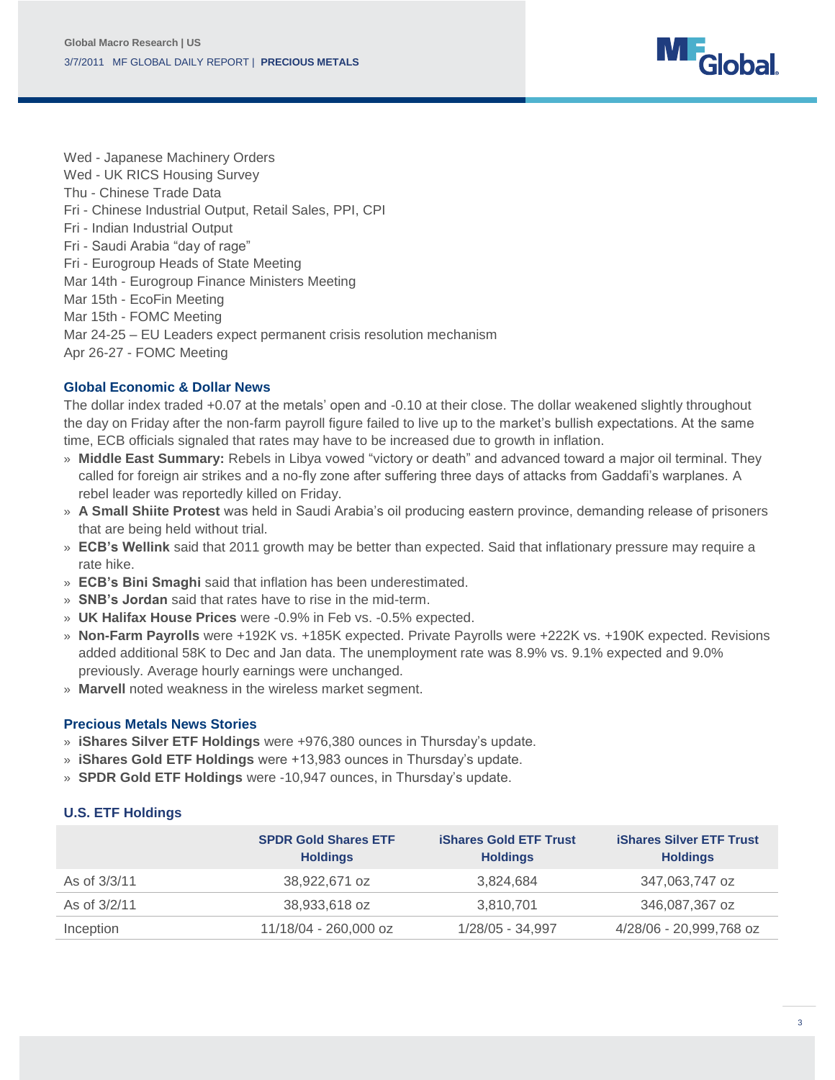

Wed - Japanese Machinery Orders Wed - UK RICS Housing Survey Thu - Chinese Trade Data Fri - Chinese Industrial Output, Retail Sales, PPI, CPI Fri - Indian Industrial Output Fri - Saudi Arabia "day of rage" Fri - Eurogroup Heads of State Meeting Mar 14th - Eurogroup Finance Ministers Meeting Mar 15th - EcoFin Meeting Mar 15th - FOMC Meeting Mar 24-25 – EU Leaders expect permanent crisis resolution mechanism Apr 26-27 - FOMC Meeting

#### **Global Economic & Dollar News**

The dollar index traded +0.07 at the metals' open and -0.10 at their close. The dollar weakened slightly throughout the day on Friday after the non-farm payroll figure failed to live up to the market's bullish expectations. At the same time, ECB officials signaled that rates may have to be increased due to growth in inflation.

- » **Middle East Summary:** Rebels in Libya vowed "victory or death" and advanced toward a major oil terminal. They called for foreign air strikes and a no-fly zone after suffering three days of attacks from Gaddafi's warplanes. A rebel leader was reportedly killed on Friday.
- » **A Small Shiite Protest** was held in Saudi Arabia's oil producing eastern province, demanding release of prisoners that are being held without trial.
- » **ECB's Wellink** said that 2011 growth may be better than expected. Said that inflationary pressure may require a rate hike.
- » **ECB's Bini Smaghi** said that inflation has been underestimated.
- » **SNB's Jordan** said that rates have to rise in the mid-term.
- » **UK Halifax House Prices** were -0.9% in Feb vs. -0.5% expected.
- » **Non-Farm Payrolls** were +192K vs. +185K expected. Private Payrolls were +222K vs. +190K expected. Revisions added additional 58K to Dec and Jan data. The unemployment rate was 8.9% vs. 9.1% expected and 9.0% previously. Average hourly earnings were unchanged.
- » **Marvell** noted weakness in the wireless market segment.

#### **Precious Metals News Stories**

- » **iShares Silver ETF Holdings** were +976,380 ounces in Thursday's update.
- » **iShares Gold ETF Holdings** were +13,983 ounces in Thursday's update.
- » **SPDR Gold ETF Holdings** were -10,947 ounces, in Thursday's update.

#### **U.S. ETF Holdings**

|              | <b>SPDR Gold Shares ETF</b><br><b>Holdings</b> | <b>iShares Gold ETF Trust</b><br><b>Holdings</b> | <b>iShares Silver ETF Trust</b><br><b>Holdings</b> |
|--------------|------------------------------------------------|--------------------------------------------------|----------------------------------------------------|
| As of 3/3/11 | 38,922,671 oz                                  | 3,824,684                                        | 347,063,747 oz                                     |
| As of 3/2/11 | 38,933,618 oz                                  | 3,810,701                                        | 346,087,367 oz                                     |
| Inception    | 11/18/04 - 260,000 oz                          | 1/28/05 - 34,997                                 | 4/28/06 - 20,999,768 oz                            |